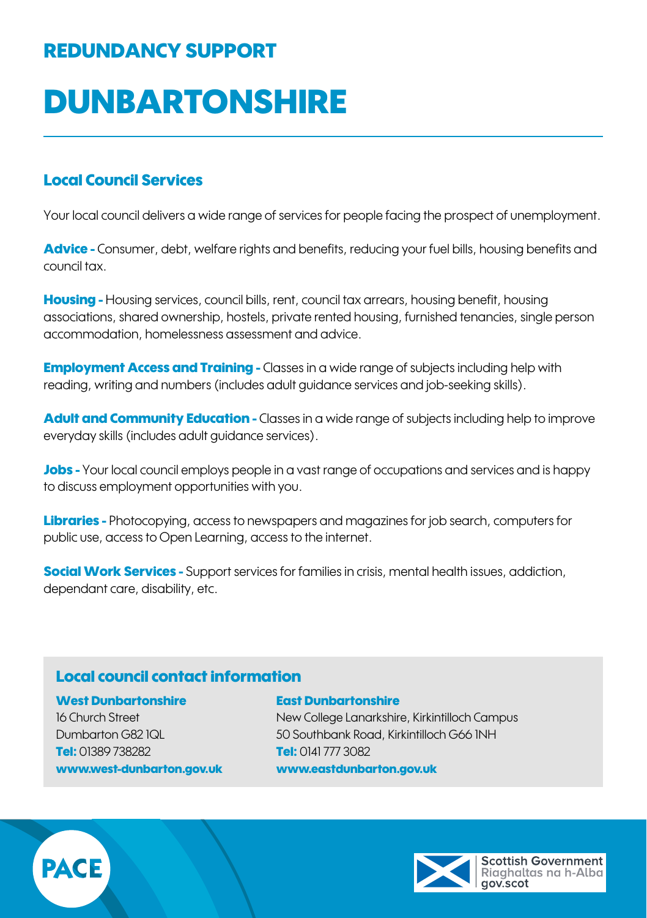## REDUNDANCY SUPPORT

# **DUNBARTONSHIRE**

#### Local Council Services

Your local council delivers a wide range of services for people facing the prospect of unemployment.

Advice - Consumer, debt, welfare rights and benefits, reducing your fuel bills, housing benefits and council tax.

**Housing -** Housing services, council bills, rent, council tax arrears, housing benefit, housing associations, shared ownership, hostels, private rented housing, furnished tenancies, single person accommodation, homelessness assessment and advice.

**Employment Access and Training -** Classes in a wide range of subjects including help with reading, writing and numbers (includes adult guidance services and job-seeking skills).

**Adult and Community Education -** Classes in a wide range of subjects including help to improve everyday skills (includes adult guidance services).

Jobs - Your local council employs people in a vast range of occupations and services and is happy to discuss employment opportunities with you.

Libraries - Photocopying, access to newspapers and magazines for job search, computers for public use, access to Open Learning, access to the internet.

**Social Work Services -** Support services for families in crisis, mental health issues, addiction, dependant care, disability, etc.

### Local council contact information

#### West Dunbartonshire East Dunbartonshire

Tel: 01389 738282 Tel: 0141 777 3082 [www.west-dunbarton.gov.uk](http://www.west-dunbarton.gov.uk) [www.eastdunbarton.gov.uk](http://www.eastdunbarton.gov.uk)

16 Church Street New College Lanarkshire, Kirkintilloch Campus Dumbarton G82 1QL 50 Southbank Road, Kirkintilloch G66 1NH



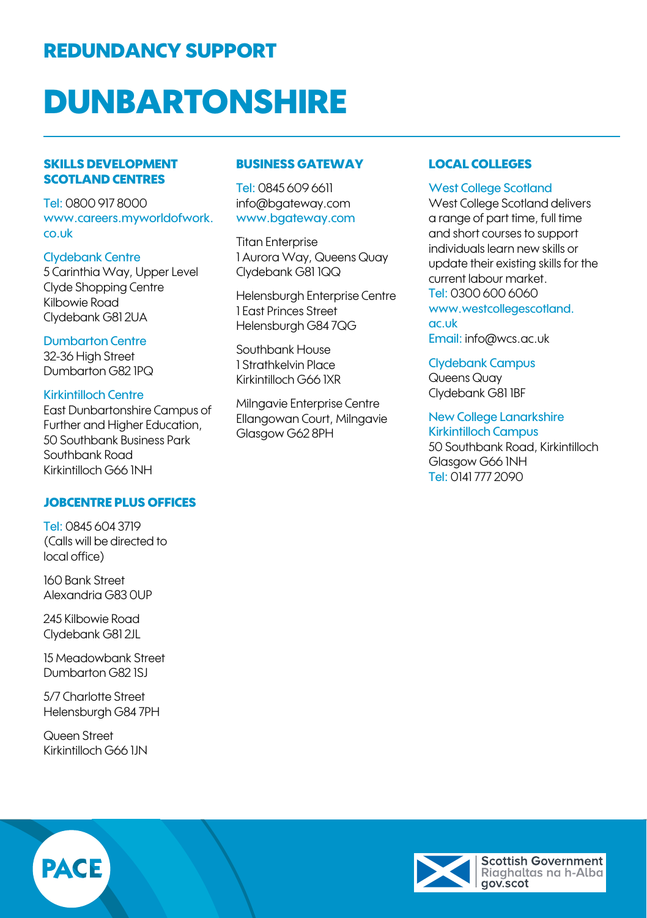## REDUNDANCY SUPPORT

# **DUNBARTONSHIRE**

#### SKILLS DEVELOPMENT SCOTLAND CENTRES

Tel: 0800 917 8000 [www.careers.myworldofwork.](http://www.careers.myworldofwork.co.uk) [co.uk](http://www.careers.myworldofwork.co.uk)

Clydebank Centre 5 Carinthia Way, Upper Level Clyde Shopping Centre Kilbowie Road Clydebank G81 2UA

Dumbarton Centre 32-36 High Street Dumbarton G82 1PQ

#### Kirkintilloch Centre East Dunbartonshire Campus of

Further and Higher Education, 50 Southbank Business Park Southbank Road Kirkintilloch G66 1NH

#### JOBCENTRE PLUS OFFICES

Tel: 0845 604 3719 (Calls will be directed to local office)

160 Bank Street Alexandria G83 0UP

245 Kilbowie Road Clydebank G81 2JL

15 Meadowbank Street Dumbarton G82 1SJ

5/7 Charlotte Street Helensburgh G84 7PH

Queen Street Kirkintilloch G66 1JN

#### BUSINESS GATEWAY

Tel: 0845 609 6611 [info@bgateway.com](mailto:info@bgateway.com) [www.bgateway.com](http://www.bgateway.com)

**Titan Enterprise** 1 Aurora Way, Queens Quay Clydebank G81 1QQ

Helensburgh Enterprise Centre 1 East Princes Street Helensburgh G84 7QG

Southbank House 1 Strathkelvin Place Kirkintilloch G66 1XR

Milngavie Enterprise Centre Ellangowan Court, Milngavie Glasgow G62 8PH

#### LOCAL COLLEGES

#### West College Scotland

West College Scotland delivers a range of part time, full time and short courses to support individuals learn new skills or update their existing skills for the current labour market. Tel: 0300 600 6060 [www.westcollegescotland.](http://www.westcollegescotland.ac.uk) [ac.uk](http://www.westcollegescotland.ac.uk) Email: [info@wcs.ac.uk](mailto:info@wcs.ac.uk)

Clydebank Campus Queens Quay Clydebank G81 1BF

New College Lanarkshire Kirkintilloch Campus 50 Southbank Road, Kirkintilloch Glasgow G66 1NH Tel: 0141 777 2090



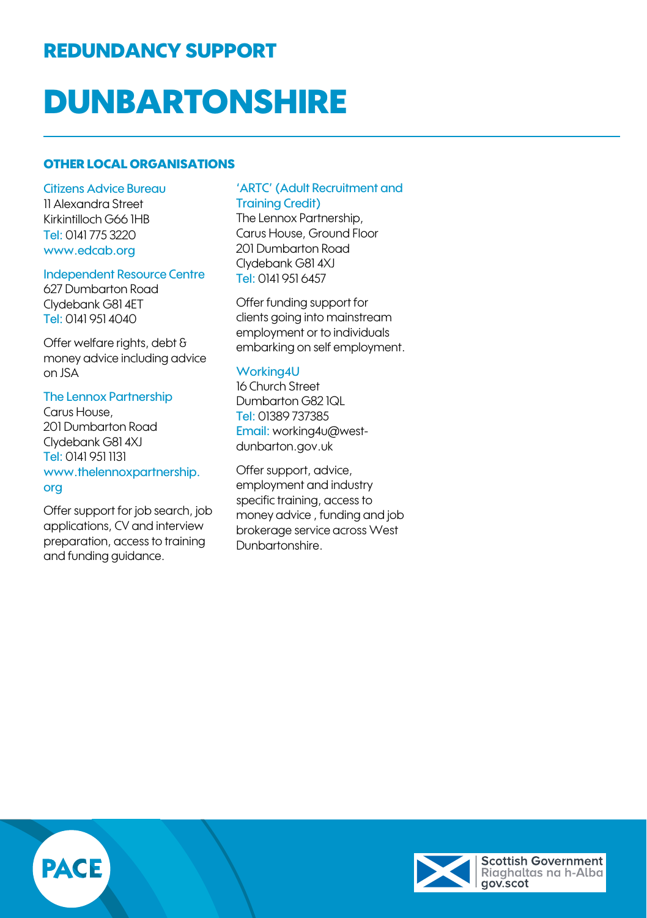## REDUNDANCY SUPPORT

# **DUNBARTONSHIRE**

#### OTHER LOCAL ORGANISATIONS

Citizens Advice Bureau 11 Alexandra Street Kirkintilloch G66 1HB Tel: 0141 775 3220 www.edcab.org

#### Independent Resource Centre

627 Dumbarton Road Clydebank G81 4ET Tel: 0141 951 4040

Offer welfare rights, debt & money advice including advice on JSA

The Lennox Partnership Carus House, 201 Dumbarton Road Clydebank G81 4XJ Tel: 0141 951 1131 [www.thelennoxpartnership.](http://www.thelennoxpartnership.org) [org](http://www.thelennoxpartnership.org)

Offer support for job search, job applications, CV and interview preparation, access to training and funding guidance.

#### 'ARTC' (Adult Recruitment and Training Credit)

The Lennox Partnership, Carus House, Ground Floor 201 Dumbarton Road Clydebank G81 4XJ Tel: 0141 951 6457

Offer funding support for clients going into mainstream employment or to individuals embarking on self employment.

#### Working4U

16 Church Street Dumbarton G82 1QL Tel: 01389 737385 Email: working4u@westdunbarton.gov.uk

Offer support, advice, employment and industry specific training, access to money advice , funding and job brokerage service across West Dunbartonshire.